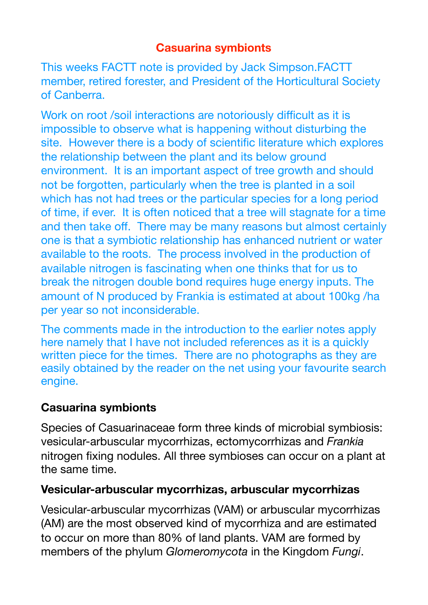## **Casuarina symbionts**

This weeks FACTT note is provided by Jack Simpson.FACTT member, retired forester, and President of the Horticultural Society of Canberra.

Work on root /soil interactions are notoriously difficult as it is impossible to observe what is happening without disturbing the site. However there is a body of scientific literature which explores the relationship between the plant and its below ground environment. It is an important aspect of tree growth and should not be forgotten, particularly when the tree is planted in a soil which has not had trees or the particular species for a long period of time, if ever. It is often noticed that a tree will stagnate for a time and then take off. There may be many reasons but almost certainly one is that a symbiotic relationship has enhanced nutrient or water available to the roots. The process involved in the production of available nitrogen is fascinating when one thinks that for us to break the nitrogen double bond requires huge energy inputs. The amount of N produced by Frankia is estimated at about 100kg /ha per year so not inconsiderable.

The comments made in the introduction to the earlier notes apply here namely that I have not included references as it is a quickly written piece for the times. There are no photographs as they are easily obtained by the reader on the net using your favourite search engine.

## **Casuarina symbionts**

Species of Casuarinaceae form three kinds of microbial symbiosis: vesicular-arbuscular mycorrhizas, ectomycorrhizas and *Frankia*  nitrogen fixing nodules. All three symbioses can occur on a plant at the same time.

## **Vesicular-arbuscular mycorrhizas, arbuscular mycorrhizas**

Vesicular-arbuscular mycorrhizas (VAM) or arbuscular mycorrhizas (AM) are the most observed kind of mycorrhiza and are estimated to occur on more than 80% of land plants. VAM are formed by members of the phylum *Glomeromycota* in the Kingdom *Fungi*.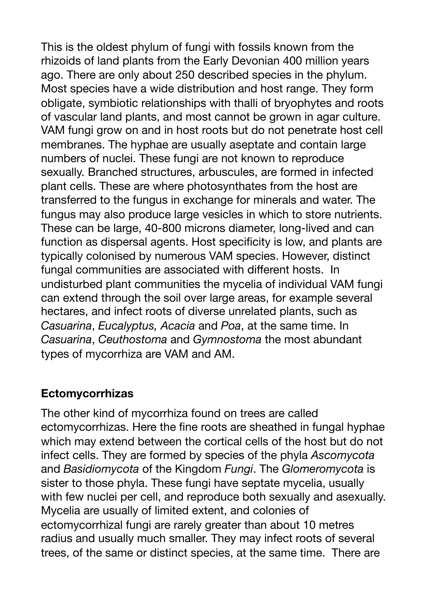This is the oldest phylum of fungi with fossils known from the rhizoids of land plants from the Early Devonian 400 million years ago. There are only about 250 described species in the phylum. Most species have a wide distribution and host range. They form obligate, symbiotic relationships with thalli of bryophytes and roots of vascular land plants, and most cannot be grown in agar culture. VAM fungi grow on and in host roots but do not penetrate host cell membranes. The hyphae are usually aseptate and contain large numbers of nuclei. These fungi are not known to reproduce sexually. Branched structures, arbuscules, are formed in infected plant cells. These are where photosynthates from the host are transferred to the fungus in exchange for minerals and water. The fungus may also produce large vesicles in which to store nutrients. These can be large, 40-800 microns diameter, long-lived and can function as dispersal agents. Host specificity is low, and plants are typically colonised by numerous VAM species. However, distinct fungal communities are associated with different hosts. In undisturbed plant communities the mycelia of individual VAM fungi can extend through the soil over large areas, for example several hectares, and infect roots of diverse unrelated plants, such as *Casuarina*, *Eucalyptus, Acacia* and *Poa*, at the same time. In *Casuarina*, *Ceuthostoma* and *Gymnostoma* the most abundant types of mycorrhiza are VAM and AM.

## **Ectomycorrhizas**

The other kind of mycorrhiza found on trees are called ectomycorrhizas. Here the fine roots are sheathed in fungal hyphae which may extend between the cortical cells of the host but do not infect cells. They are formed by species of the phyla *Ascomycota* and *Basidiomycota* of the Kingdom *Fungi*. The *Glomeromycota* is sister to those phyla. These fungi have septate mycelia, usually with few nuclei per cell, and reproduce both sexually and asexually. Mycelia are usually of limited extent, and colonies of ectomycorrhizal fungi are rarely greater than about 10 metres radius and usually much smaller. They may infect roots of several trees, of the same or distinct species, at the same time. There are